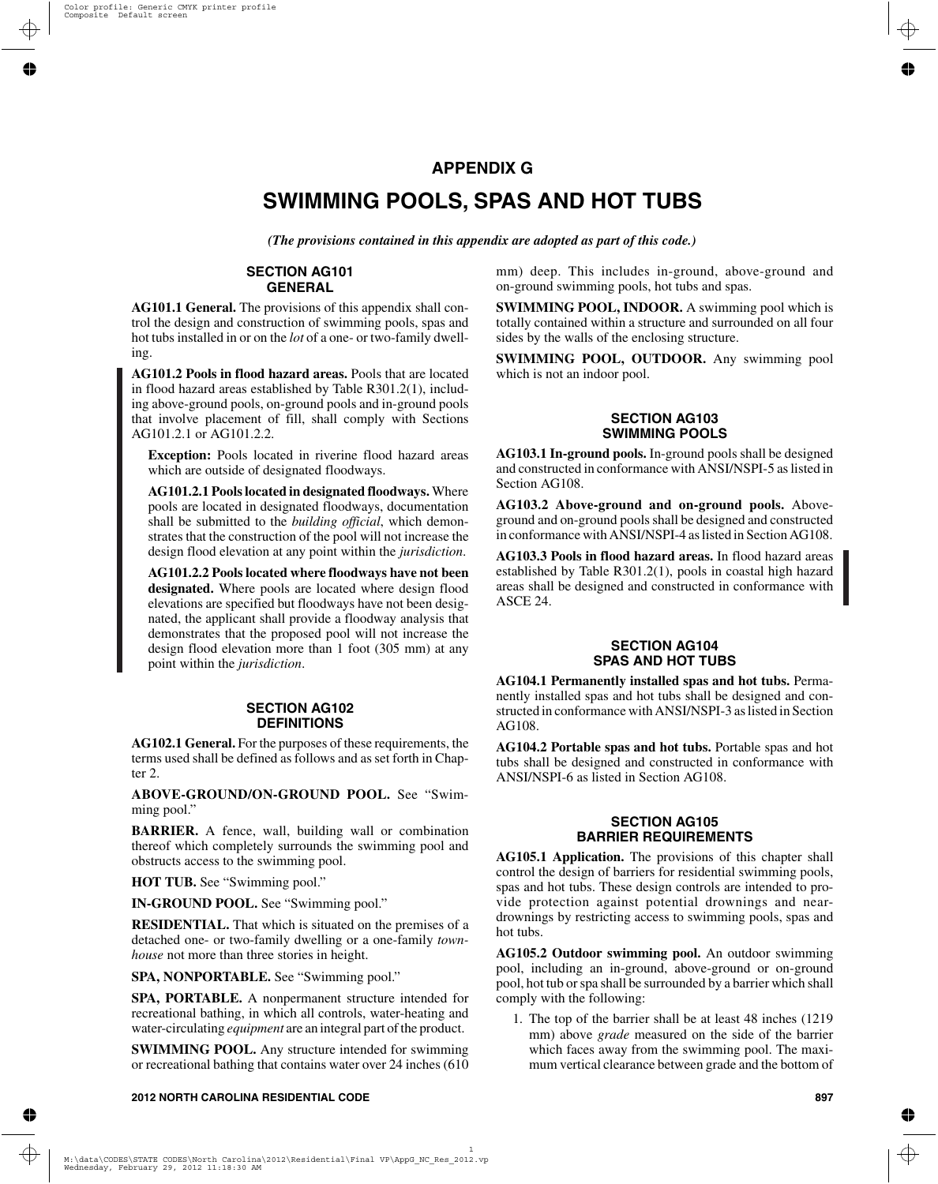# **APPENDIX G**

# **SWIMMING POOLS, SPAS AND HOT TUBS**

*(The provisions contained in this appendix are adopted as part of this code.)*

#### **SECTION AG101 GENERAL**

**AG101.1 General.** The provisions of this appendix shall control the design and construction of swimming pools, spas and hot tubs installed in or on the *lot* of a one- or two-family dwelling.

**AG101.2 Pools in flood hazard areas.** Pools that are located in flood hazard areas established by Table R301.2(1), including above-ground pools, on-ground pools and in-ground pools that involve placement of fill, shall comply with Sections AG101.2.1 or AG101.2.2.

**Exception:** Pools located in riverine flood hazard areas which are outside of designated floodways.

**AG101.2.1 Pools located in designated floodways.** Where pools are located in designated floodways, documentation shall be submitted to the *building official*, which demonstrates that the construction of the pool will not increase the design flood elevation at any point within the *jurisdiction*.

**AG101.2.2 Pools located where floodways have not been designated.** Where pools are located where design flood elevations are specified but floodways have not been designated, the applicant shall provide a floodway analysis that demonstrates that the proposed pool will not increase the design flood elevation more than 1 foot (305 mm) at any point within the *jurisdiction*.

#### **SECTION AG102 DEFINITIONS**

**AG102.1 General.** For the purposes of these requirements, the terms used shall be defined as follows and as set forth in Chapter 2.

**ABOVE-GROUND/ON-GROUND POOL.** See "Swimming pool."

**BARRIER.** A fence, wall, building wall or combination thereof which completely surrounds the swimming pool and obstructs access to the swimming pool.

**HOT TUB.** See "Swimming pool."

**IN-GROUND POOL.** See "Swimming pool."

**RESIDENTIAL.** That which is situated on the premises of a detached one- or two-family dwelling or a one-family *townhouse* not more than three stories in height.

**SPA, NONPORTABLE.** See "Swimming pool."

**SPA, PORTABLE.** A nonpermanent structure intended for recreational bathing, in which all controls, water-heating and water-circulating *equipment* are an integral part of the product.

**SWIMMING POOL.** Any structure intended for swimming or recreational bathing that contains water over 24 inches (610 mm) deep. This includes in-ground, above-ground and on-ground swimming pools, hot tubs and spas.

**SWIMMING POOL, INDOOR.** A swimming pool which is totally contained within a structure and surrounded on all four sides by the walls of the enclosing structure.

**SWIMMING POOL, OUTDOOR.** Any swimming pool which is not an indoor pool.

# **SECTION AG103 SWIMMING POOLS**

**AG103.1 In-ground pools.** In-ground pools shall be designed and constructed in conformance with ANSI/NSPI-5 as listed in Section AG108.

**AG103.2 Above-ground and on-ground pools.** Aboveground and on-ground pools shall be designed and constructed in conformance with ANSI/NSPI-4 as listed in Section AG108.

**AG103.3 Pools in flood hazard areas.** In flood hazard areas established by Table R301.2(1), pools in coastal high hazard areas shall be designed and constructed in conformance with ASCE 24.

# **SECTION AG104 SPAS AND HOT TUBS**

**AG104.1 Permanently installed spas and hot tubs.** Permanently installed spas and hot tubs shall be designed and constructed in conformance with ANSI/NSPI-3 as listed in Section AG108.

**AG104.2 Portable spas and hot tubs.** Portable spas and hot tubs shall be designed and constructed in conformance with ANSI/NSPI-6 as listed in Section AG108.

# **SECTION AG105 BARRIER REQUIREMENTS**

**AG105.1 Application.** The provisions of this chapter shall control the design of barriers for residential swimming pools, spas and hot tubs. These design controls are intended to provide protection against potential drownings and neardrownings by restricting access to swimming pools, spas and hot tubs.

**AG105.2 Outdoor swimming pool.** An outdoor swimming pool, including an in-ground, above-ground or on-ground pool, hot tub or spa shall be surrounded by a barrier which shall comply with the following:

1. The top of the barrier shall be at least 48 inches (1219 mm) above *grade* measured on the side of the barrier which faces away from the swimming pool. The maximum vertical clearance between grade and the bottom of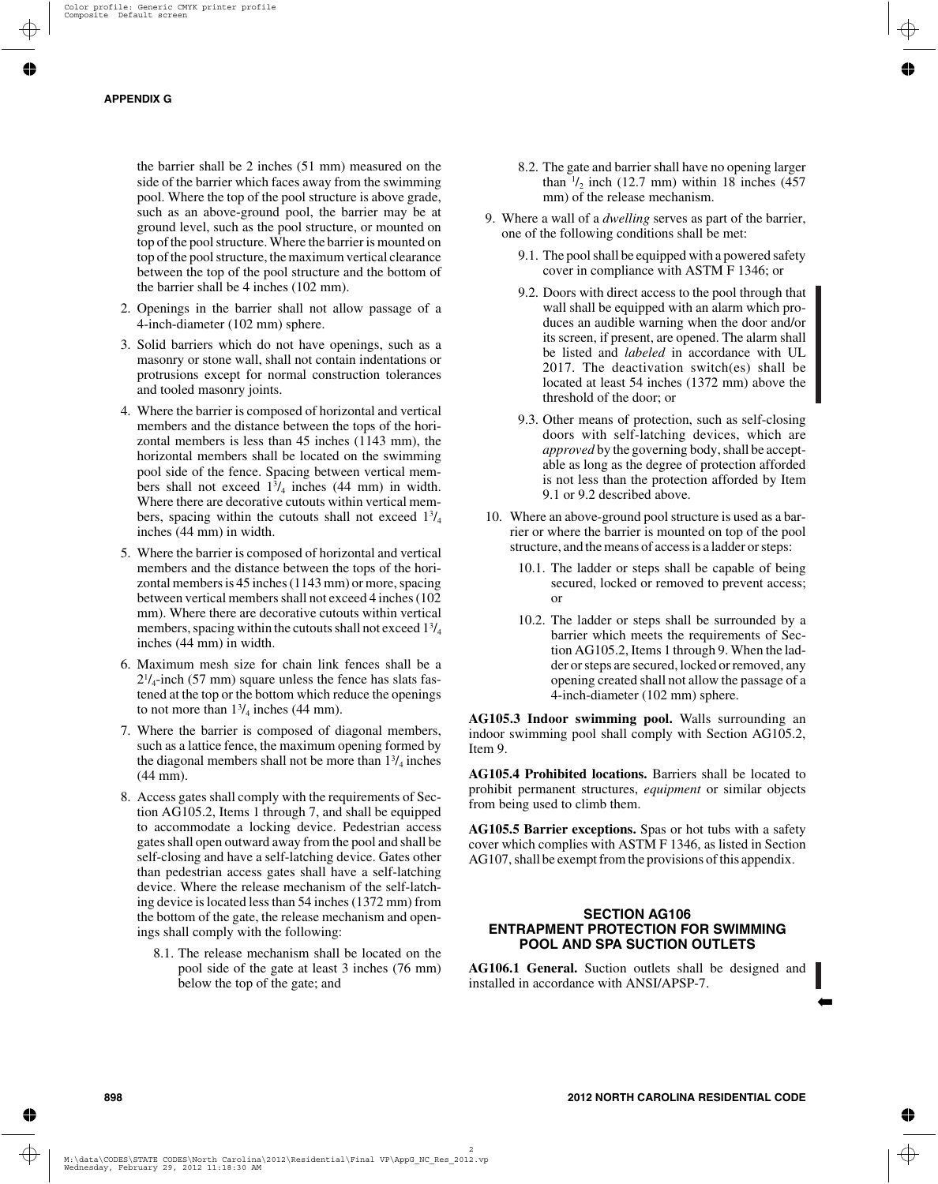the barrier shall be 2 inches (51 mm) measured on the side of the barrier which faces away from the swimming pool. Where the top of the pool structure is above grade, such as an above-ground pool, the barrier may be at ground level, such as the pool structure, or mounted on top of the pool structure. Where the barrier is mounted on top of the pool structure, the maximum vertical clearance between the top of the pool structure and the bottom of the barrier shall be 4 inches (102 mm).

- 2. Openings in the barrier shall not allow passage of a 4-inch-diameter (102 mm) sphere.
- 3. Solid barriers which do not have openings, such as a masonry or stone wall, shall not contain indentations or protrusions except for normal construction tolerances and tooled masonry joints.
- 4. Where the barrier is composed of horizontal and vertical members and the distance between the tops of the horizontal members is less than 45 inches (1143 mm), the horizontal members shall be located on the swimming pool side of the fence. Spacing between vertical members shall not exceed  $1\frac{3}{4}$  inches (44 mm) in width. Where there are decorative cutouts within vertical members, spacing within the cutouts shall not exceed  $1\frac{3}{4}$ inches (44 mm) in width.
- 5. Where the barrier is composed of horizontal and vertical members and the distance between the tops of the horizontal members is 45 inches (1143 mm) or more, spacing between vertical members shall not exceed 4 inches (102 mm). Where there are decorative cutouts within vertical members, spacing within the cutouts shall not exceed 13/4 inches (44 mm) in width.
- 6. Maximum mesh size for chain link fences shall be a  $2^{1}/_{4}$ -inch (57 mm) square unless the fence has slats fastened at the top or the bottom which reduce the openings to not more than  $1\frac{3}{4}$  inches (44 mm).
- 7. Where the barrier is composed of diagonal members, such as a lattice fence, the maximum opening formed by the diagonal members shall not be more than  $1\frac{3}{4}$  inches (44 mm).
- 8. Access gates shall comply with the requirements of Section AG105.2, Items 1 through 7, and shall be equipped to accommodate a locking device. Pedestrian access gates shall open outward away from the pool and shall be self-closing and have a self-latching device. Gates other than pedestrian access gates shall have a self-latching device. Where the release mechanism of the self-latching device is located less than 54 inches (1372 mm) from the bottom of the gate, the release mechanism and openings shall comply with the following:
	- 8.1. The release mechanism shall be located on the pool side of the gate at least 3 inches (76 mm) below the top of the gate; and
- 8.2. The gate and barrier shall have no opening larger than  $\frac{1}{2}$  inch (12.7 mm) within 18 inches (457 mm) of the release mechanism.
- 9. Where a wall of a *dwelling* serves as part of the barrier, one of the following conditions shall be met:
	- 9.1. The pool shall be equipped with a powered safety cover in compliance with ASTM F 1346; or
	- 9.2. Doors with direct access to the pool through that wall shall be equipped with an alarm which produces an audible warning when the door and/or its screen, if present, are opened. The alarm shall be listed and *labeled* in accordance with UL 2017. The deactivation switch(es) shall be located at least 54 inches (1372 mm) above the threshold of the door; or
	- 9.3. Other means of protection, such as self-closing doors with self-latching devices, which are *approved* by the governing body, shall be acceptable as long as the degree of protection afforded is not less than the protection afforded by Item 9.1 or 9.2 described above.
- 10. Where an above-ground pool structure is used as a barrier or where the barrier is mounted on top of the pool structure, and the means of access is a ladder or steps:
	- 10.1. The ladder or steps shall be capable of being secured, locked or removed to prevent access; or
	- 10.2. The ladder or steps shall be surrounded by a barrier which meets the requirements of Section AG105.2, Items 1 through 9. When the ladder or steps are secured, locked or removed, any opening created shall not allow the passage of a 4-inch-diameter (102 mm) sphere.

**AG105.3 Indoor swimming pool.** Walls surrounding an indoor swimming pool shall comply with Section AG105.2, Item 9.

**AG105.4 Prohibited locations.** Barriers shall be located to prohibit permanent structures, *equipment* or similar objects from being used to climb them.

**AG105.5 Barrier exceptions.** Spas or hot tubs with a safety cover which complies with ASTM F 1346, as listed in Section AG107, shall be exempt from the provisions of this appendix.

# **SECTION AG106 ENTRAPMENT PROTECTION FOR SWIMMING POOL AND SPA SUCTION OUTLETS**

**AG106.1 General.** Suction outlets shall be designed and installed in accordance with ANSI/APSP-7.

➡